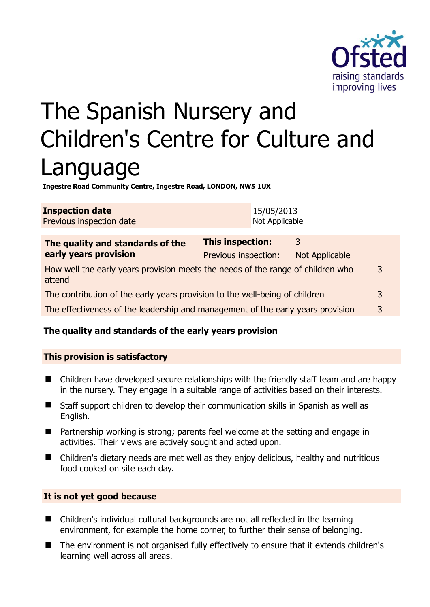

# The Spanish Nursery and Children's Centre for Culture and Language

**Ingestre Road Community Centre, Ingestre Road, LONDON, NW5 1UX** 

| <b>Inspection date</b>          | 15/05/2013     |
|---------------------------------|----------------|
| <b>Previous inspection date</b> | Not Applicable |
|                                 |                |

| The quality and standards of the                                                          | This inspection:     | 3                     |   |
|-------------------------------------------------------------------------------------------|----------------------|-----------------------|---|
| early years provision                                                                     | Previous inspection: | <b>Not Applicable</b> |   |
| How well the early years provision meets the needs of the range of children who<br>attend |                      |                       | 3 |
| The contribution of the early years provision to the well-being of children               |                      |                       | 3 |
| The effectiveness of the leadership and management of the early years provision           |                      |                       | 3 |

# **The quality and standards of the early years provision**

# **This provision is satisfactory**

- Children have developed secure relationships with the friendly staff team and are happy in the nursery. They engage in a suitable range of activities based on their interests.
- Staff support children to develop their communication skills in Spanish as well as English.
- Partnership working is strong; parents feel welcome at the setting and engage in activities. Their views are actively sought and acted upon.
- Children's dietary needs are met well as they enjoy delicious, healthy and nutritious food cooked on site each day.

#### **It is not yet good because**

- Children's individual cultural backgrounds are not all reflected in the learning environment, for example the home corner, to further their sense of belonging.
- The environment is not organised fully effectively to ensure that it extends children's learning well across all areas.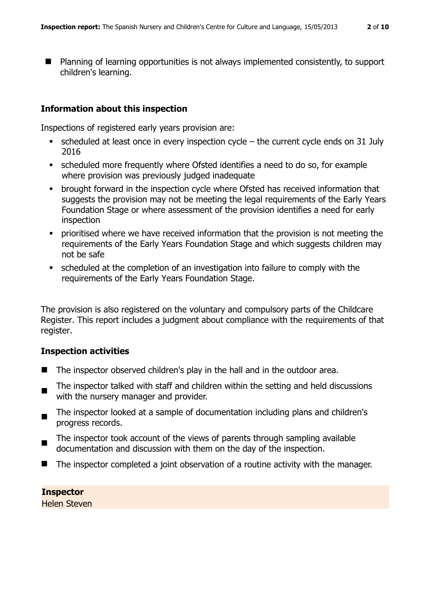■ Planning of learning opportunities is not always implemented consistently, to support children's learning.

#### **Information about this inspection**

Inspections of registered early years provision are:

- scheduled at least once in every inspection cycle the current cycle ends on 31 July 2016
- scheduled more frequently where Ofsted identifies a need to do so, for example where provision was previously judged inadequate
- brought forward in the inspection cycle where Ofsted has received information that suggests the provision may not be meeting the legal requirements of the Early Years Foundation Stage or where assessment of the provision identifies a need for early inspection
- prioritised where we have received information that the provision is not meeting the requirements of the Early Years Foundation Stage and which suggests children may not be safe
- scheduled at the completion of an investigation into failure to comply with the requirements of the Early Years Foundation Stage.

The provision is also registered on the voluntary and compulsory parts of the Childcare Register. This report includes a judgment about compliance with the requirements of that register.

#### **Inspection activities**

- The inspector observed children's play in the hall and in the outdoor area.
- $\blacksquare$ The inspector talked with staff and children within the setting and held discussions with the nursery manager and provider.
- $\blacksquare$ The inspector looked at a sample of documentation including plans and children's progress records.
- The inspector took account of the views of parents through sampling available documentation and discussion with them on the day of the inspection.
- The inspector completed a joint observation of a routine activity with the manager.

**Inspector**  Helen Steven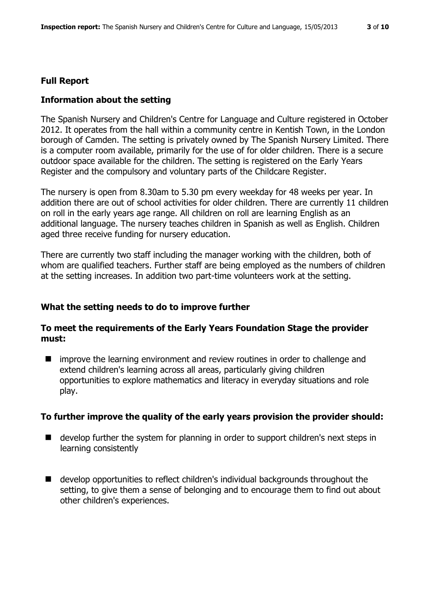# **Full Report**

# **Information about the setting**

The Spanish Nursery and Children's Centre for Language and Culture registered in October 2012. It operates from the hall within a community centre in Kentish Town, in the London borough of Camden. The setting is privately owned by The Spanish Nursery Limited. There is a computer room available, primarily for the use of for older children. There is a secure outdoor space available for the children. The setting is registered on the Early Years Register and the compulsory and voluntary parts of the Childcare Register.

The nursery is open from 8.30am to 5.30 pm every weekday for 48 weeks per year. In addition there are out of school activities for older children. There are currently 11 children on roll in the early years age range. All children on roll are learning English as an additional language. The nursery teaches children in Spanish as well as English. Children aged three receive funding for nursery education.

There are currently two staff including the manager working with the children, both of whom are qualified teachers. Further staff are being employed as the numbers of children at the setting increases. In addition two part-time volunteers work at the setting.

# **What the setting needs to do to improve further**

#### **To meet the requirements of the Early Years Foundation Stage the provider must:**

 $\blacksquare$  improve the learning environment and review routines in order to challenge and extend children's learning across all areas, particularly giving children opportunities to explore mathematics and literacy in everyday situations and role play.

#### **To further improve the quality of the early years provision the provider should:**

- develop further the system for planning in order to support children's next steps in learning consistently
- develop opportunities to reflect children's individual backgrounds throughout the setting, to give them a sense of belonging and to encourage them to find out about other children's experiences.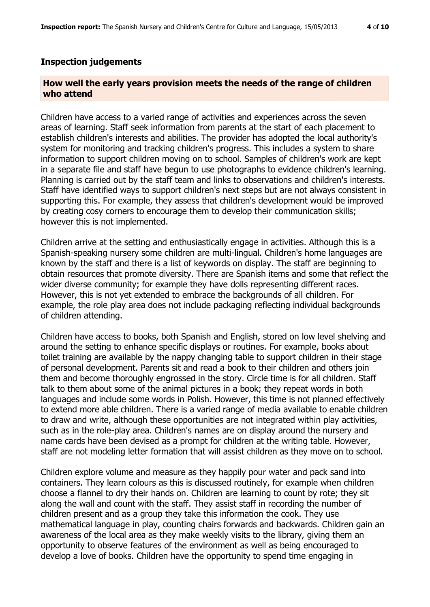#### **Inspection judgements**

#### **How well the early years provision meets the needs of the range of children who attend**

Children have access to a varied range of activities and experiences across the seven areas of learning. Staff seek information from parents at the start of each placement to establish children's interests and abilities. The provider has adopted the local authority's system for monitoring and tracking children's progress. This includes a system to share information to support children moving on to school. Samples of children's work are kept in a separate file and staff have begun to use photographs to evidence children's learning. Planning is carried out by the staff team and links to observations and children's interests. Staff have identified ways to support children's next steps but are not always consistent in supporting this. For example, they assess that children's development would be improved by creating cosy corners to encourage them to develop their communication skills; however this is not implemented.

Children arrive at the setting and enthusiastically engage in activities. Although this is a Spanish-speaking nursery some children are multi-lingual. Children's home languages are known by the staff and there is a list of keywords on display. The staff are beginning to obtain resources that promote diversity. There are Spanish items and some that reflect the wider diverse community; for example they have dolls representing different races. However, this is not yet extended to embrace the backgrounds of all children. For example, the role play area does not include packaging reflecting individual backgrounds of children attending.

Children have access to books, both Spanish and English, stored on low level shelving and around the setting to enhance specific displays or routines. For example, books about toilet training are available by the nappy changing table to support children in their stage of personal development. Parents sit and read a book to their children and others join them and become thoroughly engrossed in the story. Circle time is for all children. Staff talk to them about some of the animal pictures in a book; they repeat words in both languages and include some words in Polish. However, this time is not planned effectively to extend more able children. There is a varied range of media available to enable children to draw and write, although these opportunities are not integrated within play activities, such as in the role-play area. Children's names are on display around the nursery and name cards have been devised as a prompt for children at the writing table. However, staff are not modeling letter formation that will assist children as they move on to school.

Children explore volume and measure as they happily pour water and pack sand into containers. They learn colours as this is discussed routinely, for example when children choose a flannel to dry their hands on. Children are learning to count by rote; they sit along the wall and count with the staff. They assist staff in recording the number of children present and as a group they take this information the cook. They use mathematical language in play, counting chairs forwards and backwards. Children gain an awareness of the local area as they make weekly visits to the library, giving them an opportunity to observe features of the environment as well as being encouraged to develop a love of books. Children have the opportunity to spend time engaging in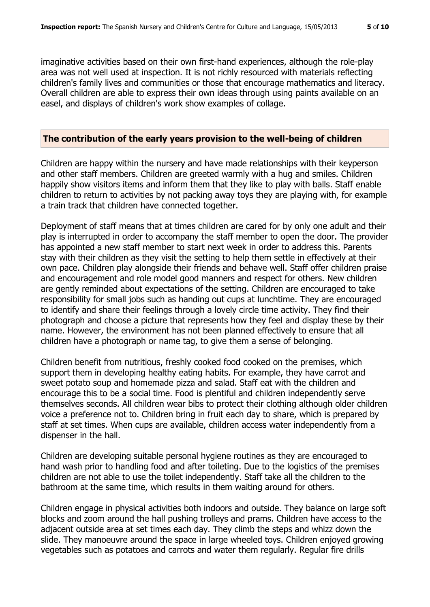imaginative activities based on their own first-hand experiences, although the role-play area was not well used at inspection. It is not richly resourced with materials reflecting children's family lives and communities or those that encourage mathematics and literacy. Overall children are able to express their own ideas through using paints available on an easel, and displays of children's work show examples of collage.

#### **The contribution of the early years provision to the well-being of children**

Children are happy within the nursery and have made relationships with their keyperson and other staff members. Children are greeted warmly with a hug and smiles. Children happily show visitors items and inform them that they like to play with balls. Staff enable children to return to activities by not packing away toys they are playing with, for example a train track that children have connected together.

Deployment of staff means that at times children are cared for by only one adult and their play is interrupted in order to accompany the staff member to open the door. The provider has appointed a new staff member to start next week in order to address this. Parents stay with their children as they visit the setting to help them settle in effectively at their own pace. Children play alongside their friends and behave well. Staff offer children praise and encouragement and role model good manners and respect for others. New children are gently reminded about expectations of the setting. Children are encouraged to take responsibility for small jobs such as handing out cups at lunchtime. They are encouraged to identify and share their feelings through a lovely circle time activity. They find their photograph and choose a picture that represents how they feel and display these by their name. However, the environment has not been planned effectively to ensure that all children have a photograph or name tag, to give them a sense of belonging.

Children benefit from nutritious, freshly cooked food cooked on the premises, which support them in developing healthy eating habits. For example, they have carrot and sweet potato soup and homemade pizza and salad. Staff eat with the children and encourage this to be a social time. Food is plentiful and children independently serve themselves seconds. All children wear bibs to protect their clothing although older children voice a preference not to. Children bring in fruit each day to share, which is prepared by staff at set times. When cups are available, children access water independently from a dispenser in the hall.

Children are developing suitable personal hygiene routines as they are encouraged to hand wash prior to handling food and after toileting. Due to the logistics of the premises children are not able to use the toilet independently. Staff take all the children to the bathroom at the same time, which results in them waiting around for others.

Children engage in physical activities both indoors and outside. They balance on large soft blocks and zoom around the hall pushing trolleys and prams. Children have access to the adjacent outside area at set times each day. They climb the steps and whizz down the slide. They manoeuvre around the space in large wheeled toys. Children enjoyed growing vegetables such as potatoes and carrots and water them regularly. Regular fire drills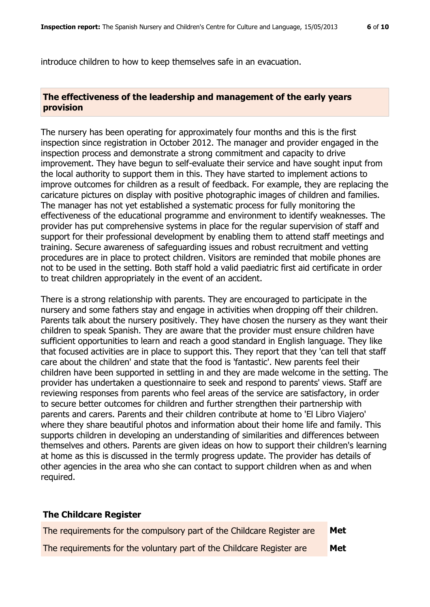introduce children to how to keep themselves safe in an evacuation.

#### **The effectiveness of the leadership and management of the early years provision**

The nursery has been operating for approximately four months and this is the first inspection since registration in October 2012. The manager and provider engaged in the inspection process and demonstrate a strong commitment and capacity to drive improvement. They have begun to self-evaluate their service and have sought input from the local authority to support them in this. They have started to implement actions to improve outcomes for children as a result of feedback. For example, they are replacing the caricature pictures on display with positive photographic images of children and families. The manager has not yet established a systematic process for fully monitoring the effectiveness of the educational programme and environment to identify weaknesses. The provider has put comprehensive systems in place for the regular supervision of staff and support for their professional development by enabling them to attend staff meetings and training. Secure awareness of safeguarding issues and robust recruitment and vetting procedures are in place to protect children. Visitors are reminded that mobile phones are not to be used in the setting. Both staff hold a valid paediatric first aid certificate in order to treat children appropriately in the event of an accident.

There is a strong relationship with parents. They are encouraged to participate in the nursery and some fathers stay and engage in activities when dropping off their children. Parents talk about the nursery positively. They have chosen the nursery as they want their children to speak Spanish. They are aware that the provider must ensure children have sufficient opportunities to learn and reach a good standard in English language. They like that focused activities are in place to support this. They report that they 'can tell that staff care about the children' and state that the food is 'fantastic'. New parents feel their children have been supported in settling in and they are made welcome in the setting. The provider has undertaken a questionnaire to seek and respond to parents' views. Staff are reviewing responses from parents who feel areas of the service are satisfactory, in order to secure better outcomes for children and further strengthen their partnership with parents and carers. Parents and their children contribute at home to 'El Libro Viajero' where they share beautiful photos and information about their home life and family. This supports children in developing an understanding of similarities and differences between themselves and others. Parents are given ideas on how to support their children's learning at home as this is discussed in the termly progress update. The provider has details of other agencies in the area who she can contact to support children when as and when required.

#### **The Childcare Register**

| The requirements for the compulsory part of the Childcare Register are | Met |
|------------------------------------------------------------------------|-----|
| The requirements for the voluntary part of the Childcare Register are  | Met |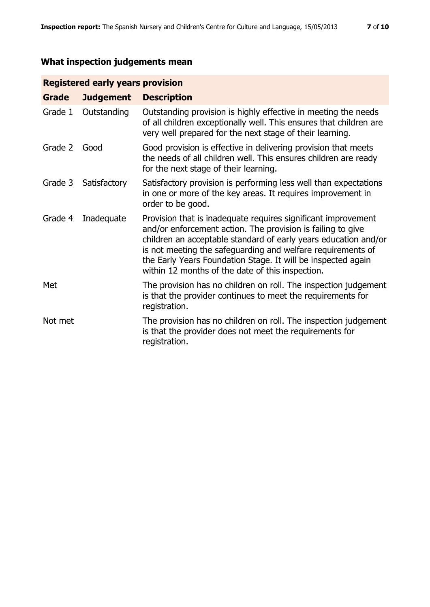# **What inspection judgements mean**

# **Registered early years provision**

| <b>Grade</b> | <b>Judgement</b> | <b>Description</b>                                                                                                                                                                                                                                                                                                                                                                 |
|--------------|------------------|------------------------------------------------------------------------------------------------------------------------------------------------------------------------------------------------------------------------------------------------------------------------------------------------------------------------------------------------------------------------------------|
| Grade 1      | Outstanding      | Outstanding provision is highly effective in meeting the needs<br>of all children exceptionally well. This ensures that children are<br>very well prepared for the next stage of their learning.                                                                                                                                                                                   |
| Grade 2      | Good             | Good provision is effective in delivering provision that meets<br>the needs of all children well. This ensures children are ready<br>for the next stage of their learning.                                                                                                                                                                                                         |
| Grade 3      | Satisfactory     | Satisfactory provision is performing less well than expectations<br>in one or more of the key areas. It requires improvement in<br>order to be good.                                                                                                                                                                                                                               |
| Grade 4      | Inadequate       | Provision that is inadequate requires significant improvement<br>and/or enforcement action. The provision is failing to give<br>children an acceptable standard of early years education and/or<br>is not meeting the safeguarding and welfare requirements of<br>the Early Years Foundation Stage. It will be inspected again<br>within 12 months of the date of this inspection. |
| Met          |                  | The provision has no children on roll. The inspection judgement<br>is that the provider continues to meet the requirements for<br>registration.                                                                                                                                                                                                                                    |
| Not met      |                  | The provision has no children on roll. The inspection judgement<br>is that the provider does not meet the requirements for<br>registration.                                                                                                                                                                                                                                        |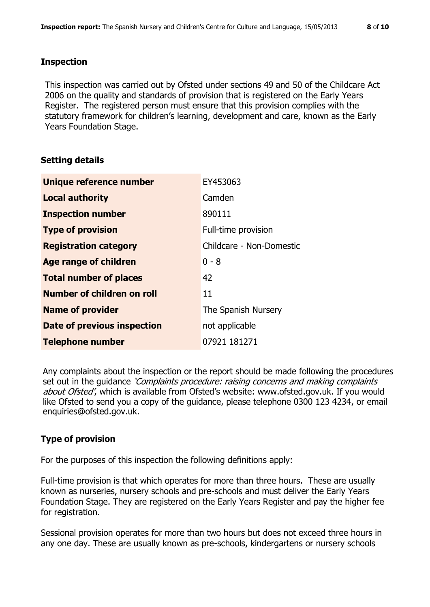This inspection was carried out by Ofsted under sections 49 and 50 of the Childcare Act 2006 on the quality and standards of provision that is registered on the Early Years Register. The registered person must ensure that this provision complies with the statutory framework for children's learning, development and care, known as the Early Years Foundation Stage.

# **Setting details**

| Unique reference number       | EY453063                 |
|-------------------------------|--------------------------|
| <b>Local authority</b>        | Camden                   |
| <b>Inspection number</b>      | 890111                   |
| <b>Type of provision</b>      | Full-time provision      |
| <b>Registration category</b>  | Childcare - Non-Domestic |
| <b>Age range of children</b>  | $0 - 8$                  |
| <b>Total number of places</b> | 42                       |
| Number of children on roll    | 11                       |
| <b>Name of provider</b>       | The Spanish Nursery      |
| Date of previous inspection   | not applicable           |
| <b>Telephone number</b>       | 07921 181271             |

Any complaints about the inspection or the report should be made following the procedures set out in the guidance *'Complaints procedure: raising concerns and making complaints* about Ofsted', which is available from Ofsted's website: www.ofsted.gov.uk. If you would like Ofsted to send you a copy of the guidance, please telephone 0300 123 4234, or email enquiries@ofsted.gov.uk.

# **Type of provision**

For the purposes of this inspection the following definitions apply:

Full-time provision is that which operates for more than three hours. These are usually known as nurseries, nursery schools and pre-schools and must deliver the Early Years Foundation Stage. They are registered on the Early Years Register and pay the higher fee for registration.

Sessional provision operates for more than two hours but does not exceed three hours in any one day. These are usually known as pre-schools, kindergartens or nursery schools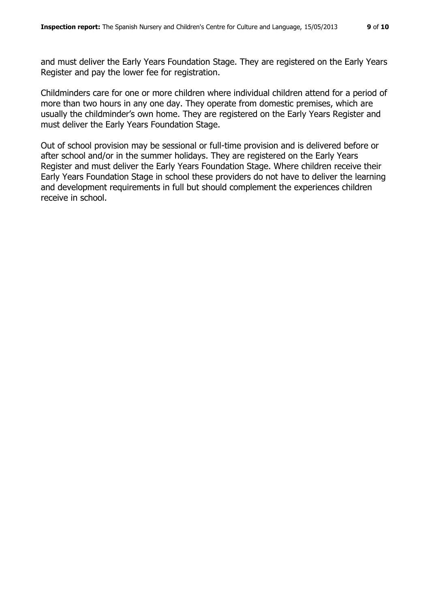and must deliver the Early Years Foundation Stage. They are registered on the Early Years Register and pay the lower fee for registration.

Childminders care for one or more children where individual children attend for a period of more than two hours in any one day. They operate from domestic premises, which are usually the childminder's own home. They are registered on the Early Years Register and must deliver the Early Years Foundation Stage.

Out of school provision may be sessional or full-time provision and is delivered before or after school and/or in the summer holidays. They are registered on the Early Years Register and must deliver the Early Years Foundation Stage. Where children receive their Early Years Foundation Stage in school these providers do not have to deliver the learning and development requirements in full but should complement the experiences children receive in school.